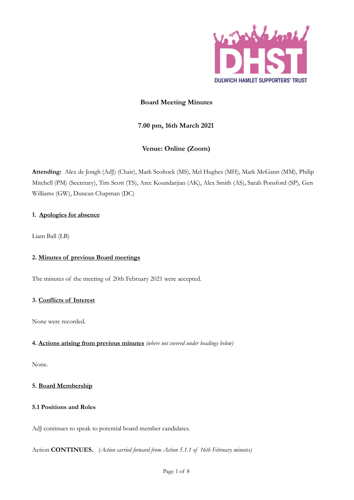

# **Board Meeting Minutes**

# **7.00 pm, 16th March 2021**

# **Venue: Online (Zoom)**

**Attending:** Alex de Jongh (AdJ) (Chair), Mark Scoltock (MS), Mel Hughes (MH), Mark McGann (MM), Philip Mitchell (PM) (Secretary), Tim Scott (TS), Arec Koundarjian (AK), Alex Smith (AS), Sarah Ponsford (SP), Gen Williams (GW), Duncan Chapman (DC)

# **1. Apologies for absence**

Liam Ball (LB)

# **2. Minutes of previous Board meetings**

The minutes of the meeting of 20th February 2021 were accepted.

# **3. Conflicts of Interest**

None were recorded.

# **4. Actions arising from previous minutes** *(where not covered under headings below)*

None.

# **5. Board Membership**

# **5.1 Positions and Roles**

AdJ continues to speak to potential board member candidates.

Action **CONTINUES.** *(Action carried forward from Action 5.1.1 of 16th February minutes)*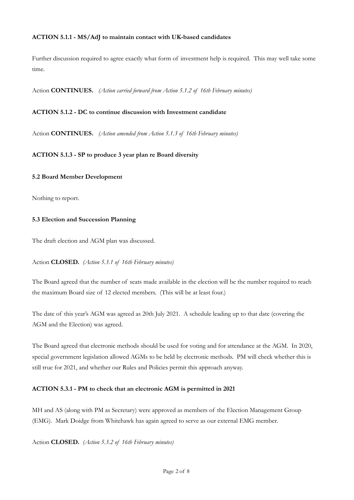#### **ACTION 5.1.1 - MS/AdJ to maintain contact with UK-based candidates**

Further discussion required to agree exactly what form of investment help is required. This may well take some time.

Action **CONTINUES.** *(Action carried forward from Action 5.1.2 of 16th February minutes)*

#### **ACTION 5.1.2 - DC to continue discussion with Investment candidate**

Action **CONTINUES.** *(Action amended from Action 5.1.3 of 16th February minutes)*

# **ACTION 5.1.3 - SP to produce 3 year plan re Board diversity**

#### **5.2 Board Member Development**

Nothing to report.

#### **5.3 Election and Succession Planning**

The draft election and AGM plan was discussed.

Action **CLOSED.** *(Action 5.3.1 of 16th February minutes)*

The Board agreed that the number of seats made available in the election will be the number required to reach the maximum Board size of 12 elected members. (This will be at least four.)

The date of this year's AGM was agreed as 20th July 2021. A schedule leading up to that date (covering the AGM and the Election) was agreed.

The Board agreed that electronic methods should be used for voting and for attendance at the AGM. In 2020, special government legislation allowed AGMs to be held by electronic methods. PM will check whether this is still true for 2021, and whether our Rules and Policies permit this approach anyway.

# **ACTION 5.3.1 - PM to check that an electronic AGM is permitted in 2021**

MH and AS (along with PM as Secretary) were approved as members of the Election Management Group (EMG). Mark Doidge from Whitehawk has again agreed to serve as our external EMG member.

Action **CLOSED.** *(Action 5.3.2 of 16th February minutes)*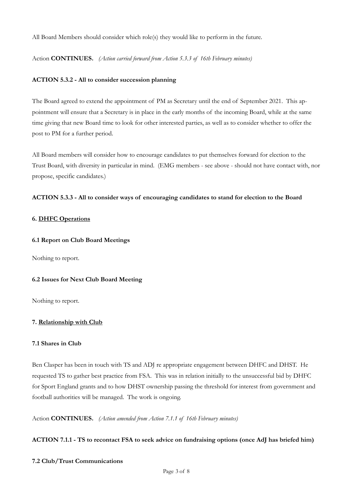All Board Members should consider which role(s) they would like to perform in the future.

Action **CONTINUES.** *(Action carried forward from Action 5.3.3 of 16th February minutes)*

# **ACTION 5.3.2 - All to consider succession planning**

The Board agreed to extend the appointment of PM as Secretary until the end of September 2021. This appointment will ensure that a Secretary is in place in the early months of the incoming Board, while at the same time giving that new Board time to look for other interested parties, as well as to consider whether to offer the post to PM for a further period.

All Board members will consider how to encourage candidates to put themselves forward for election to the Trust Board, with diversity in particular in mind. (EMG members - see above - should not have contact with, nor propose, specific candidates.)

# **ACTION 5.3.3 - All to consider ways of encouraging candidates to stand for election to the Board**

# **6. DHFC Operations**

# **6.1 Report on Club Board Meetings**

Nothing to report.

# **6.2 Issues for Next Club Board Meeting**

Nothing to report.

# **7. Relationship with Club**

# **7.1 Shares in Club**

Ben Clasper has been in touch with TS and ADJ re appropriate engagement between DHFC and DHST. He requested TS to gather best practice from FSA. This was in relation initially to the unsuccessful bid by DHFC for Sport England grants and to how DHST ownership passing the threshold for interest from government and football authorities will be managed. The work is ongoing.

Action **CONTINUES.** *(Action amended from Action 7.1.1 of 16th February minutes)*

# **ACTION 7.1.1 - TS to recontact FSA to seek advice on fundraising options (once AdJ has briefed him)**

# **7.2 Club/Trust Communications**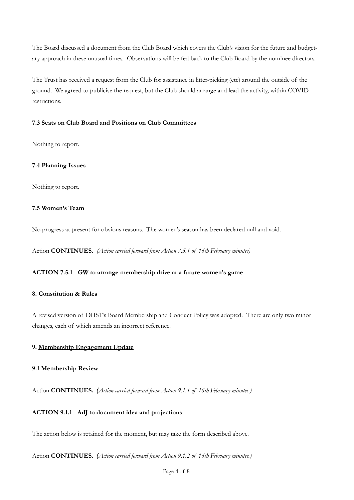The Board discussed a document from the Club Board which covers the Club's vision for the future and budgetary approach in these unusual times. Observations will be fed back to the Club Board by the nominee directors.

The Trust has received a request from the Club for assistance in litter-picking (etc) around the outside of the ground. We agreed to publicise the request, but the Club should arrange and lead the activity, within COVID restrictions.

# **7.3 Seats on Club Board and Positions on Club Committees**

Nothing to report.

#### **7.4 Planning Issues**

Nothing to report.

#### **7.5 Women's Team**

No progress at present for obvious reasons. The women's season has been declared null and void.

Action **CONTINUES.** *(Action carried forward from Action 7.5.1 of 16th February minutes)*

#### **ACTION 7.5.1 - GW to arrange membership drive at a future women's game**

#### **8. Constitution & Rules**

A revised version of DHST's Board Membership and Conduct Policy was adopted. There are only two minor changes, each of which amends an incorrect reference.

# **9. Membership Engagement Update**

#### **9.1 Membership Review**

Action **CONTINUES.** *(Action carried forward from Action 9.1.1 of 16th February minutes.)*

# **ACTION 9.1.1 - AdJ to document idea and projections**

The action below is retained for the moment, but may take the form described above.

Action **CONTINUES.** *(Action carried forward from Action 9.1.2 of 16th February minutes.)*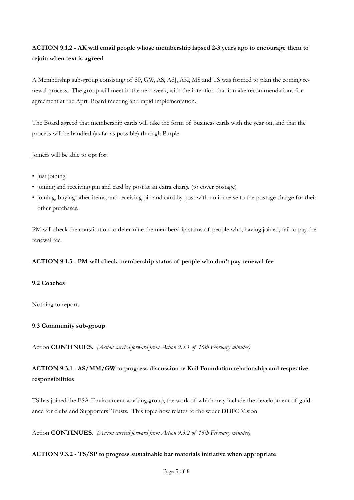# **ACTION 9.1.2 - AK will email people whose membership lapsed 2-3 years ago to encourage them to rejoin when text is agreed**

A Membership sub-group consisting of SP, GW, AS, AdJ, AK, MS and TS was formed to plan the coming renewal process. The group will meet in the next week, with the intention that it make recommendations for agreement at the April Board meeting and rapid implementation.

The Board agreed that membership cards will take the form of business cards with the year on, and that the process will be handled (as far as possible) through Purple.

Joiners will be able to opt for:

- just joining
- joining and receiving pin and card by post at an extra charge (to cover postage)
- joining, buying other items, and receiving pin and card by post with no increase to the postage charge for their other purchases.

PM will check the constitution to determine the membership status of people who, having joined, fail to pay the renewal fee.

# **ACTION 9.1.3 - PM will check membership status of people who don't pay renewal fee**

# **9.2 Coaches**

Nothing to report.

# **9.3 Community sub-group**

Action **CONTINUES.** *(Action carried forward from Action 9.3.1 of 16th February minutes)*

# **ACTION 9.3.1 - AS/MM/GW to progress discussion re Kail Foundation relationship and respective responsibilities**

TS has joined the FSA Environment working group, the work of which may include the development of guidance for clubs and Supporters' Trusts. This topic now relates to the wider DHFC Vision.

Action **CONTINUES.** *(Action carried forward from Action 9.3.2 of 16th February minutes)* 

#### **ACTION 9.3.2 - TS/SP to progress sustainable bar materials initiative when appropriate**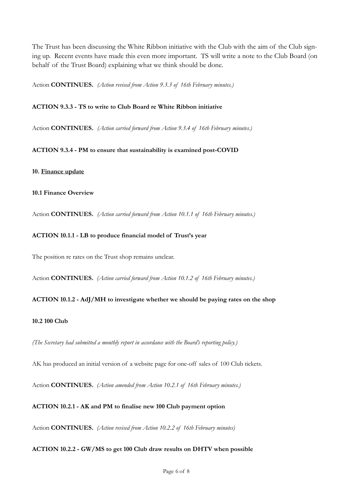The Trust has been discussing the White Ribbon initiative with the Club with the aim of the Club signing up. Recent events have made this even more important. TS will write a note to the Club Board (on behalf of the Trust Board) explaining what we think should be done.

Action **CONTINUES.** *(Action revised from Action 9.3.3 of 16th February minutes.)*

#### **ACTION 9.3.3 - TS to write to Club Board re White Ribbon initiative**

Action **CONTINUES.** *(Action carried forward from Action 9.3.4 of 16th February minutes.)*

**ACTION 9.3.4 - PM to ensure that sustainability is examined post-COVID**

**10. Finance update**

# **10.1 Finance Overview**

Action **CONTINUES.** *(Action carried forward from Action 10.1.1 of 16th February minutes.)* 

#### **ACTION 10.1.1 - LB to produce financial model of Trust's year**

The position re rates on the Trust shop remains unclear.

Action **CONTINUES.** *(Action carried forward from Action 10.1.2 of 16th February minutes.)* 

# **ACTION 10.1.2 - AdJ/MH to investigate whether we should be paying rates on the shop**

# **10.2 100 Club**

*(The Secretary had submitted a monthly report in accordance with the Board's reporting policy.)*

AK has produced an initial version of a website page for one-off sales of 100 Club tickets.

Action **CONTINUES.** *(Action amended from Action 10.2.1 of 16th February minutes.)* 

# **ACTION 10.2.1 - AK and PM to finalise new 100 Club payment option**

Action **CONTINUES.** *(Action revised from Action 10.2.2 of 16th February minutes)* 

# **ACTION 10.2.2 - GW/MS to get 100 Club draw results on DHTV when possible**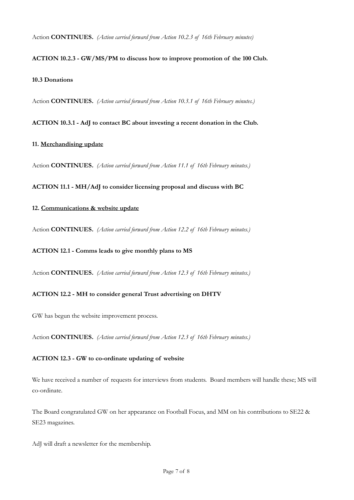Action **CONTINUES.** *(Action carried forward from Action 10.2.3 of 16th February minutes)*

# **ACTION 10.2.3 - GW/MS/PM to discuss how to improve promotion of the 100 Club.**

#### **10.3 Donations**

Action **CONTINUES.** *(Action carried forward from Action 10.3.1 of 16th February minutes.)*

**ACTION 10.3.1 - AdJ to contact BC about investing a recent donation in the Club.**

# **11. Merchandising update**

Action **CONTINUES.** *(Action carried forward from Action 11.1 of 16th February minutes.)*

# **ACTION 11.1 - MH/AdJ to consider licensing proposal and discuss with BC**

# **12. Communications & website update**

Action **CONTINUES.** *(Action carried forward from Action 12.2 of 16th February minutes.)*

# **ACTION 12.1 - Comms leads to give monthly plans to MS**

Action **CONTINUES.** *(Action carried forward from Action 12.3 of 16th February minutes.)*

# **ACTION 12.2 - MH to consider general Trust advertising on DHTV**

GW has begun the website improvement process.

Action **CONTINUES.** *(Action carried forward from Action 12.3 of 16th February minutes.)*

# **ACTION 12.3 - GW to co-ordinate updating of website**

We have received a number of requests for interviews from students. Board members will handle these; MS will co-ordinate.

The Board congratulated GW on her appearance on Football Focus, and MM on his contributions to SE22 & SE23 magazines.

AdJ will draft a newsletter for the membership.